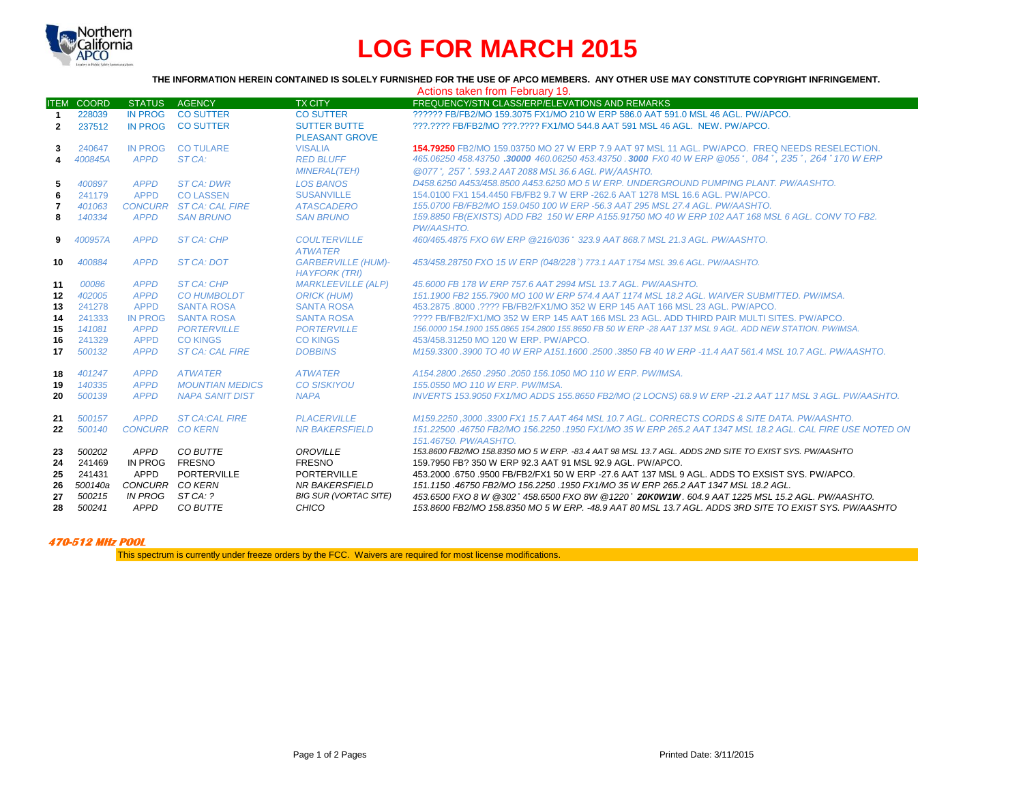

## **LOG FOR MARCH 2015**

## **THE INFORMATION HEREIN CONTAINED IS SOLELY FURNISHED FOR THE USE OF APCO MEMBERS. ANY OTHER USE MAY CONSTITUTE COPYRIGHT INFRINGEMENT.**

|              |                   |                        |                         |                                                   | Actions taken from February 19.                                                                                                    |
|--------------|-------------------|------------------------|-------------------------|---------------------------------------------------|------------------------------------------------------------------------------------------------------------------------------------|
|              | <b>ITEM COORD</b> | <b>STATUS</b>          | AGENCY                  | <b>TX CITY</b>                                    | FREQUENCY/STN CLASS/ERP/ELEVATIONS AND REMARKS                                                                                     |
| $\mathbf{1}$ | 228039            | <b>IN PROG</b>         | <b>CO SUTTER</b>        | <b>CO SUTTER</b>                                  | 222222 FB/FB2/MO 159.3075 FX1/MO 210 W ERP 586.0 AAT 591.0 MSL 46 AGL, PW/APCO.                                                    |
| $\mathbf{2}$ | 237512            | IN PROG                | <b>CO SUTTER</b>        | <b>SUTTER BUTTE</b><br><b>PLEASANT GROVE</b>      | ???.???? FB/FB2/MO ???.???? FX1/MO 544.8 AAT 591 MSL 46 AGL. NEW. PW/APCO.                                                         |
| 3            | 240647            | <b>IN PROG</b>         | <b>CO TULARE</b>        | <b>VISALIA</b>                                    | 154.79250 FB2/MO 159.03750 MO 27 W ERP 7.9 AAT 97 MSL 11 AGL, PW/APCO. FREQ NEEDS RESELECTION.                                     |
| 4            | 400845A           | <b>APPD</b>            | ST CA:                  | <b>RED BLUFF</b>                                  | 465.06250 458.43750 .30000 460.06250 453.43750 .3000 FX0 40 W ERP @055°, 084°, 235°, 264° 170 W ERP                                |
|              |                   |                        |                         | <b>MINERAL(TEH)</b>                               | @077°, 257°, 593.2 AAT 2088 MSL 36.6 AGL, PW/AASHTO.                                                                               |
| 5            | 400897            | <b>APPD</b>            | <b>ST CA: DWR</b>       | <b>LOS BANOS</b>                                  | D458.6250 A453/458.8500 A453.6250 MO 5 W ERP. UNDERGROUND PUMPING PLANT. PW/AASHTO.                                                |
| 6            | 241179            | <b>APPD</b>            | <b>COLASSEN</b>         | <b>SUSANVILLE</b>                                 | 154,0100 FX1 154,4450 FB/FB2 9.7 W ERP -262.6 AAT 1278 MSL 16.6 AGL, PW/APCO.                                                      |
| 7            | 401063            |                        | CONCURR ST CA: CAL FIRE | <b>ATASCADERO</b>                                 | 155,0700 FB/FB2/MO 159,0450 100 W ERP -56,3 AAT 295 MSL 27,4 AGL, PW/AASHTO,                                                       |
| 8            | 140334            | <b>APPD</b>            | <b>SAN BRUNO</b>        | <b>SAN BRUNO</b>                                  | 159.8850 FB(EXISTS) ADD FB2 150 W ERP A155.91750 MO 40 W ERP 102 AAT 168 MSL 6 AGL. CONV TO FB2.<br>PW/AASHTO.                     |
| 9            | 400957A           | <b>APPD</b>            | <b>ST CA: CHP</b>       | <b>COULTERVILLE</b><br><b>ATWATER</b>             | 460/465.4875 FXO 6W ERP @216/036° 323.9 AAT 868.7 MSL 21.3 AGL, PW/AASHTO.                                                         |
| 10           | 400884            | <b>APPD</b>            | <b>ST CA: DOT</b>       | <b>GARBERVILLE (HUM)-</b><br><b>HAYFORK (TRI)</b> | 453/458.28750 FXO 15 W ERP (048/228°) 773.1 AAT 1754 MSL 39.6 AGL. PW/AASHTO.                                                      |
| 11           | 00086             | <b>APPD</b>            | <b>ST CA: CHP</b>       | <b>MARKLEEVILLE (ALP)</b>                         | 45,6000 FB 178 W ERP 757.6 AAT 2994 MSL 13.7 AGL. PW/AASHTO.                                                                       |
| 12           | 402005            | <b>APPD</b>            | <b>CO HUMBOLDT</b>      | <b>ORICK (HUM)</b>                                | 151.1900 FB2 155.7900 MO 100 W ERP 574.4 AAT 1174 MSL 18.2 AGL, WAIVER SUBMITTED, PW/IMSA.                                         |
| 13           | 241278            | <b>APPD</b>            | <b>SANTA ROSA</b>       | <b>SANTA ROSA</b>                                 | 453.2875 .8000 .???? FB/FB2/FX1/MO 352 W ERP 145 AAT 166 MSL 23 AGL, PW/APCO.                                                      |
| 14           | 241333            | <b>IN PROG</b>         | <b>SANTA ROSA</b>       | <b>SANTA ROSA</b>                                 | 2222 FB/FB2/FX1/MO 352 W ERP 145 AAT 166 MSL 23 AGL. ADD THIRD PAIR MULTI SITES, PW/APCO.                                          |
| 15           | 141081            | <b>APPD</b>            | <b>PORTERVILLE</b>      | <b>PORTERVILLE</b>                                | 156,0000 154,1900 155,0865 154,2800 155,8650 FB 50 W ERP -28 AAT 137 MSL 9 AGL. ADD NEW STATION, PW/IMSA.                          |
| 16           | 241329            | <b>APPD</b>            | <b>CO KINGS</b>         | <b>CO KINGS</b>                                   | 453/458.31250 MO 120 W ERP. PW/APCO.                                                                                               |
| 17           | 500132            | <b>APPD</b>            | <b>ST CA: CAL FIRE</b>  | <b>DOBBINS</b>                                    | M159.3300.3900 TO 40 W ERP A151.1600.2500.3850 FB 40 W ERP -11.4 AAT 561.4 MSL 10.7 AGL. PW/AASHTO.                                |
| 18           | 401247            | <b>APPD</b>            | <b>ATWATER</b>          | <b>ATWATER</b>                                    | A154.2800 .2650 .2950 .2050 156.1050 MO 110 W ERP. PW/IMSA.                                                                        |
| 19           | 140335            | <b>APPD</b>            | <b>MOUNTIAN MEDICS</b>  | <b>CO SISKIYOU</b>                                | 155.0550 MO 110 W ERP. PW/IMSA.                                                                                                    |
| 20           | 500139            | <b>APPD</b>            | <b>NAPA SANIT DIST</b>  | <b>NAPA</b>                                       | INVERTS 153.9050 FX1/MO ADDS 155.8650 FB2/MO (2 LOCNS) 68.9 W ERP -21.2 AAT 117 MSL 3 AGL. PW/AASHTO.                              |
| 21           | 500157            | <b>APPD</b>            | <b>ST CA:CAL FIRE</b>   | <b>PLACERVILLE</b>                                | M159.2250.3000.3300 FX1 15.7 AAT 464 MSL 10.7 AGL, CORRECTS CORDS & SITE DATA, PW/AASHTO,                                          |
| 22           | 500140            | <b>CONCURR CO KERN</b> |                         | <b>NR BAKERSFIELD</b>                             | 151.22500 .46750 FB2/MO 156.2250 .1950 FX1/MO 35 W ERP 265.2 AAT 1347 MSL 18.2 AGL. CAL FIRE USE NOTED ON<br>151.46750, PW/AASHTO. |
| 23           | 500202            | <b>APPD</b>            | CO BUTTE                | OROVILLE                                          | 153.8600 FB2/MO 158.8350 MO 5 W ERP. -83.4 AAT 98 MSL 13.7 AGL. ADDS 2ND SITE TO EXIST SYS. PW/AASHTO                              |
| 24           | 241469            | IN PROG                | <b>FRESNO</b>           | <b>FRESNO</b>                                     | 159.7950 FB? 350 W ERP 92.3 AAT 91 MSL 92.9 AGL. PW/APCO.                                                                          |
| 25           | 241431            | APPD                   | PORTERVILLE             | PORTERVILLE                                       | 453,2000 .6750 .9500 FB/FB2/FX1 50 W ERP -27.6 AAT 137 MSL 9 AGL. ADDS TO EXSIST SYS. PW/APCO.                                     |
| 26           | 500140a           | CONCURR CO KERN        |                         | <b>NR BAKERSFIELD</b>                             | 151.1150.46750 FB2/MO 156.2250.1950 FX1/MO 35 W ERP 265.2 AAT 1347 MSL 18.2 AGL.                                                   |
| 27           | 500215            | IN PROG                | ST CA: ?                | <b>BIG SUR (VORTAC SITE)</b>                      | 453.6500 FXO 8 W @302° 458.6500 FXO 8W @1220° 20K0W1W. 604.9 AAT 1225 MSL 15.2 AGL. PW/AASHTO.                                     |
| 28           | 500241            | APPD                   | CO BUTTE                | CHICO                                             | 153.8600 FB2/MO 158.8350 MO 5 W ERP. -48.9 AAT 80 MSL 13.7 AGL. ADDS 3RD SITE TO EXIST SYS. PW/AASHTO                              |

## **470-512 MHz POOL**

This spectrum is currently under freeze orders by the FCC. Waivers are required for most license modifications.